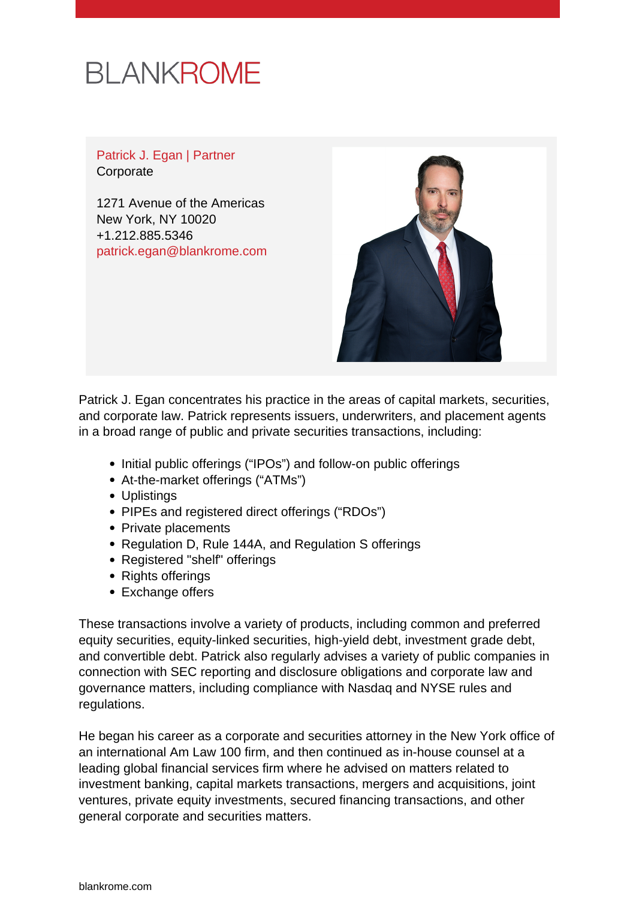## **BLANKROME**

Patrick J. Egan | Partner **Corporate** 

1271 Avenue of the Americas New York, NY 10020 +1.212.885.5346 [patrick.egan@blankrome.com](mailto:patrick.egan@blankrome.com)



Patrick J. Egan concentrates his practice in the areas of capital markets, securities, and corporate law. Patrick represents issuers, underwriters, and placement agents in a broad range of public and private securities transactions, including:

- Initial public offerings ("IPOs") and follow-on public offerings
- At-the-market offerings ("ATMs")
- Uplistings
- PIPEs and registered direct offerings ("RDOs")
- Private placements
- Regulation D, Rule 144A, and Regulation S offerings
- Registered "shelf" offerings
- Rights offerings
- Exchange offers

These transactions involve a variety of products, including common and preferred equity securities, equity-linked securities, high-yield debt, investment grade debt, and convertible debt. Patrick also regularly advises a variety of public companies in connection with SEC reporting and disclosure obligations and corporate law and governance matters, including compliance with Nasdaq and NYSE rules and regulations.

He began his career as a corporate and securities attorney in the New York office of an international Am Law 100 firm, and then continued as in-house counsel at a leading global financial services firm where he advised on matters related to investment banking, capital markets transactions, mergers and acquisitions, joint ventures, private equity investments, secured financing transactions, and other general corporate and securities matters.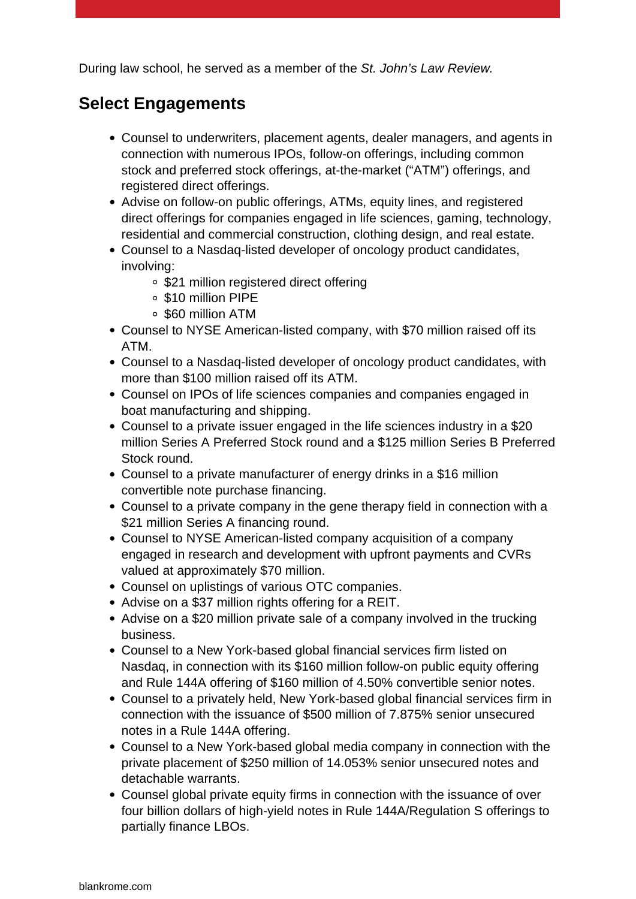During law school, he served as a member of the St. John's Law Review.

## **Select Engagements**

- Counsel to underwriters, placement agents, dealer managers, and agents in connection with numerous IPOs, follow-on offerings, including common stock and preferred stock offerings, at-the-market ("ATM") offerings, and registered direct offerings.
- Advise on follow-on public offerings, ATMs, equity lines, and registered direct offerings for companies engaged in life sciences, gaming, technology, residential and commercial construction, clothing design, and real estate.
- Counsel to a Nasdaq-listed developer of oncology product candidates, involving:
	- \$21 million registered direct offering
	- \$10 million PIPE
	- \$60 million ATM
- Counsel to NYSE American-listed company, with \$70 million raised off its ATM.
- Counsel to a Nasdaq-listed developer of oncology product candidates, with more than \$100 million raised off its ATM.
- Counsel on IPOs of life sciences companies and companies engaged in boat manufacturing and shipping.
- Counsel to a private issuer engaged in the life sciences industry in a \$20 million Series A Preferred Stock round and a \$125 million Series B Preferred Stock round.
- Counsel to a private manufacturer of energy drinks in a \$16 million convertible note purchase financing.
- Counsel to a private company in the gene therapy field in connection with a \$21 million Series A financing round.
- Counsel to NYSE American-listed company acquisition of a company engaged in research and development with upfront payments and CVRs valued at approximately \$70 million.
- Counsel on uplistings of various OTC companies.
- Advise on a \$37 million rights offering for a REIT.
- Advise on a \$20 million private sale of a company involved in the trucking business.
- Counsel to a New York-based global financial services firm listed on Nasdag, in connection with its \$160 million follow-on public equity offering and Rule 144A offering of \$160 million of 4.50% convertible senior notes.
- Counsel to a privately held, New York-based global financial services firm in connection with the issuance of \$500 million of 7.875% senior unsecured notes in a Rule 144A offering.
- Counsel to a New York-based global media company in connection with the private placement of \$250 million of 14.053% senior unsecured notes and detachable warrants.
- Counsel global private equity firms in connection with the issuance of over four billion dollars of high-yield notes in Rule 144A/Regulation S offerings to partially finance LBOs.